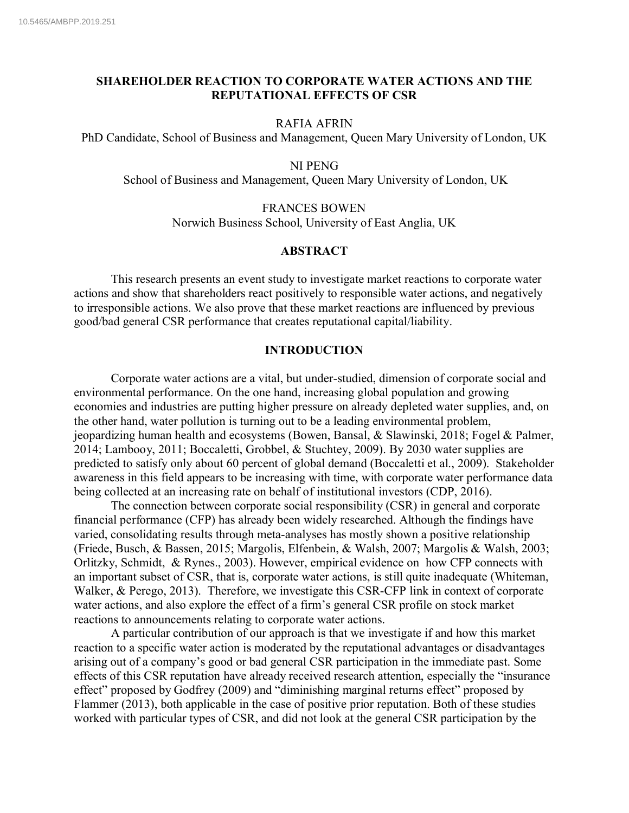### **SHAREHOLDER REACTION TO CORPORATE WATER ACTIONS AND THE REPUTATIONAL EFFECTS OF CSR**

### RAFIA AFRIN

PhD Candidate, School of Business and Management, Queen Mary University of London, UK

#### NI PENG

School of Business and Management, Queen Mary University of London, UK

FRANCES BOWEN Norwich Business School, University of East Anglia, UK

### **ABSTRACT**

This research presents an event study to investigate market reactions to corporate water actions and show that shareholders react positively to responsible water actions, and negatively to irresponsible actions. We also prove that these market reactions are influenced by previous good/bad general CSR performance that creates reputational capital/liability.

### **INTRODUCTION**

Corporate water actions are a vital, but under-studied, dimension of corporate social and environmental performance. On the one hand, increasing global population and growing economies and industries are putting higher pressure on already depleted water supplies, and, on the other hand, water pollution is turning out to be a leading environmental problem, jeopardizing human health and ecosystems (Bowen, Bansal, & Slawinski, 2018; Fogel & Palmer, 2014; Lambooy, 2011; Boccaletti, Grobbel, & Stuchtey, 2009). By 2030 water supplies are predicted to satisfy only about 60 percent of global demand (Boccaletti et al., 2009). Stakeholder awareness in this field appears to be increasing with time, with corporate water performance data being collected at an increasing rate on behalf of institutional investors (CDP, 2016).

The connection between corporate social responsibility (CSR) in general and corporate financial performance (CFP) has already been widely researched. Although the findings have varied, consolidating results through meta-analyses has mostly shown a positive relationship (Friede, Busch, & Bassen, 2015; Margolis, Elfenbein, & Walsh, 2007; Margolis & Walsh, 2003; Orlitzky, Schmidt, & Rynes., 2003). However, empirical evidence on how CFP connects with an important subset of CSR, that is, corporate water actions, is still quite inadequate (Whiteman, Walker, & Perego, 2013). Therefore, we investigate this CSR-CFP link in context of corporate water actions, and also explore the effect of a firm's general CSR profile on stock market reactions to announcements relating to corporate water actions.

A particular contribution of our approach is that we investigate if and how this market reaction to a specific water action is moderated by the reputational advantages or disadvantages arising out of a company's good or bad general CSR participation in the immediate past. Some effects of this CSR reputation have already received research attention, especially the "insurance effect" proposed by Godfrey (2009) and "diminishing marginal returns effect" proposed by Flammer (2013), both applicable in the case of positive prior reputation. Both of these studies worked with particular types of CSR, and did not look at the general CSR participation by the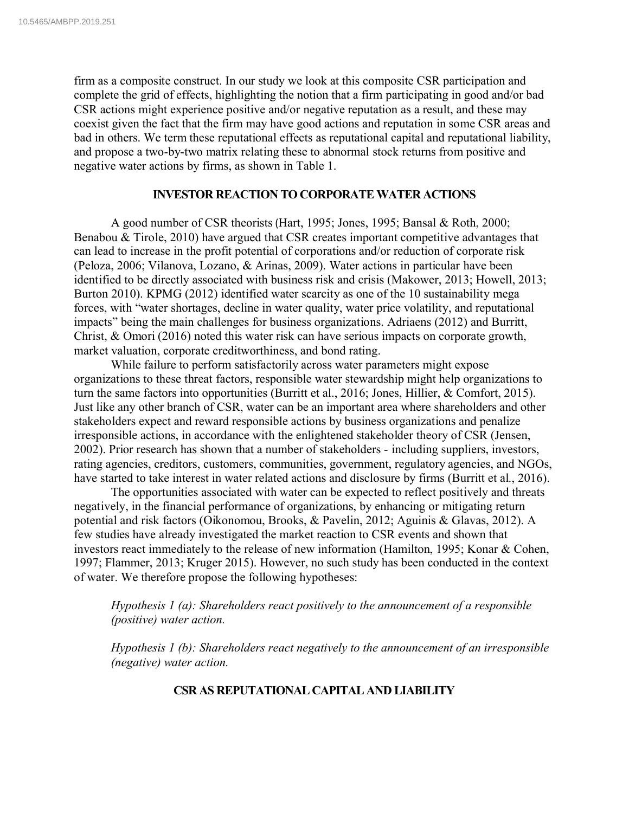firm as a composite construct. In our study we look at this composite CSR participation and complete the grid of effects, highlighting the notion that a firm participating in good and/or bad CSR actions might experience positive and/or negative reputation as a result, and these may coexist given the fact that the firm may have good actions and reputation in some CSR areas and bad in others. We term these reputational effects as reputational capital and reputational liability, and propose a two-by-two matrix relating these to abnormal stock returns from positive and negative water actions by firms, as shown in Table 1.

### **INVESTOR REACTION TO CORPORATE WATER ACTIONS**

A good number of CSR theorists(Hart, 1995; Jones, 1995; Bansal & Roth, 2000; Benabou & Tirole, 2010) have argued that CSR creates important competitive advantages that can lead to increase in the profit potential of corporations and/or reduction of corporate risk (Peloza, 2006; Vilanova, Lozano, & Arinas, 2009). Water actions in particular have been identified to be directly associated with business risk and crisis (Makower, 2013; Howell, 2013; Burton 2010). KPMG (2012) identified water scarcity as one of the 10 sustainability mega forces, with "water shortages, decline in water quality, water price volatility, and reputational impacts" being the main challenges for business organizations. Adriaens (2012) and Burritt, Christ, & Omori (2016) noted this water risk can have serious impacts on corporate growth, market valuation, corporate creditworthiness, and bond rating.

While failure to perform satisfactorily across water parameters might expose organizations to these threat factors, responsible water stewardship might help organizations to turn the same factors into opportunities (Burritt et al., 2016; Jones, Hillier, & Comfort, 2015). Just like any other branch of CSR, water can be an important area where shareholders and other stakeholders expect and reward responsible actions by business organizations and penalize irresponsible actions, in accordance with the enlightened stakeholder theory of CSR (Jensen, 2002). Prior research has shown that a number of stakeholders - including suppliers, investors, rating agencies, creditors, customers, communities, government, regulatory agencies, and NGOs, have started to take interest in water related actions and disclosure by firms (Burritt et al., 2016).

The opportunities associated with water can be expected to reflect positively and threats negatively, in the financial performance of organizations, by enhancing or mitigating return potential and risk factors (Oikonomou, Brooks, & Pavelin, 2012; Aguinis & Glavas, 2012). A few studies have already investigated the market reaction to CSR events and shown that investors react immediately to the release of new information (Hamilton, 1995; Konar & Cohen, 1997; Flammer, 2013; Kruger 2015). However, no such study has been conducted in the context of water. We therefore propose the following hypotheses:

*Hypothesis 1 (a): Shareholders react positively to the announcement of a responsible (positive) water action.*

*Hypothesis 1 (b): Shareholders react negatively to the announcement of an irresponsible (negative) water action.*

## **CSR AS REPUTATIONAL CAPITAL AND LIABILITY**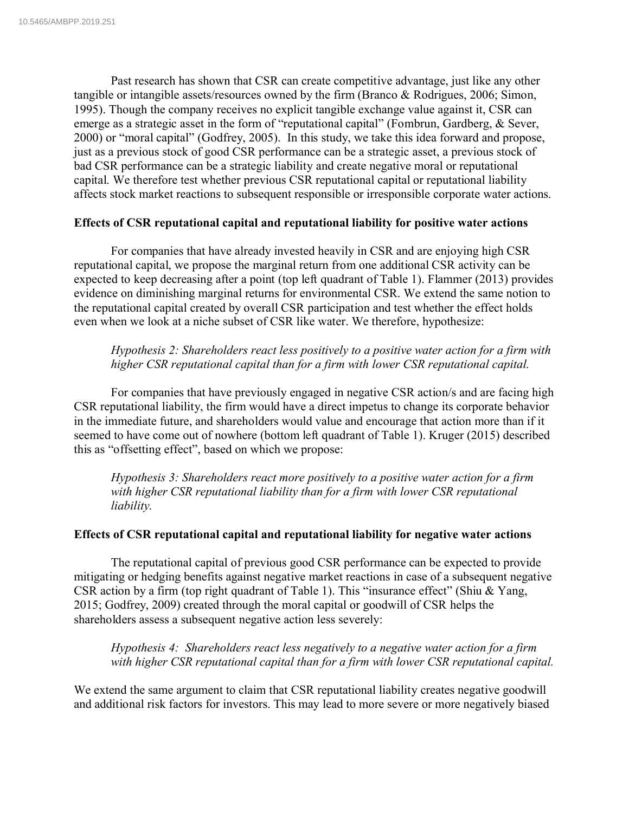Past research has shown that CSR can create competitive advantage, just like any other tangible or intangible assets/resources owned by the firm (Branco & Rodrigues, 2006; Simon, 1995). Though the company receives no explicit tangible exchange value against it, CSR can emerge as a strategic asset in the form of "reputational capital" (Fombrun, Gardberg, & Sever, 2000) or "moral capital" (Godfrey, 2005). In this study, we take this idea forward and propose, just as a previous stock of good CSR performance can be a strategic asset, a previous stock of bad CSR performance can be a strategic liability and create negative moral or reputational capital. We therefore test whether previous CSR reputational capital or reputational liability affects stock market reactions to subsequent responsible or irresponsible corporate water actions.

### **Effects of CSR reputational capital and reputational liability for positive water actions**

For companies that have already invested heavily in CSR and are enjoying high CSR reputational capital, we propose the marginal return from one additional CSR activity can be expected to keep decreasing after a point (top left quadrant of Table 1). Flammer (2013) provides evidence on diminishing marginal returns for environmental CSR. We extend the same notion to the reputational capital created by overall CSR participation and test whether the effect holds even when we look at a niche subset of CSR like water. We therefore, hypothesize:

*Hypothesis 2: Shareholders react less positively to a positive water action for a firm with higher CSR reputational capital than for a firm with lower CSR reputational capital.*

For companies that have previously engaged in negative CSR action/s and are facing high CSR reputational liability, the firm would have a direct impetus to change its corporate behavior in the immediate future, and shareholders would value and encourage that action more than if it seemed to have come out of nowhere (bottom left quadrant of Table 1). Kruger (2015) described this as "offsetting effect", based on which we propose:

*Hypothesis 3: Shareholders react more positively to a positive water action for a firm with higher CSR reputational liability than for a firm with lower CSR reputational liability.* 

### **Effects of CSR reputational capital and reputational liability for negative water actions**

The reputational capital of previous good CSR performance can be expected to provide mitigating or hedging benefits against negative market reactions in case of a subsequent negative CSR action by a firm (top right quadrant of Table 1). This "insurance effect" (Shiu & Yang, 2015; Godfrey, 2009) created through the moral capital or goodwill of CSR helps the shareholders assess a subsequent negative action less severely:

*Hypothesis 4: Shareholders react less negatively to a negative water action for a firm with higher CSR reputational capital than for a firm with lower CSR reputational capital.*

We extend the same argument to claim that CSR reputational liability creates negative goodwill and additional risk factors for investors. This may lead to more severe or more negatively biased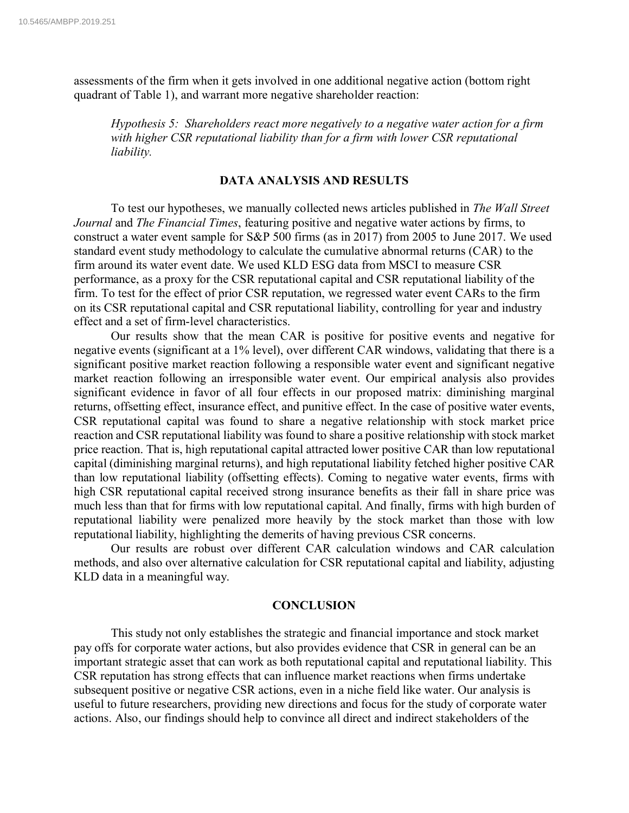assessments of the firm when it gets involved in one additional negative action (bottom right quadrant of Table 1), and warrant more negative shareholder reaction:

*Hypothesis 5: Shareholders react more negatively to a negative water action for a firm with higher CSR reputational liability than for a firm with lower CSR reputational liability.*

### **DATA ANALYSIS AND RESULTS**

To test our hypotheses, we manually collected news articles published in *The Wall Street Journal* and *The Financial Times*, featuring positive and negative water actions by firms, to construct a water event sample for S&P 500 firms (as in 2017) from 2005 to June 2017. We used standard event study methodology to calculate the cumulative abnormal returns (CAR) to the firm around its water event date. We used KLD ESG data from MSCI to measure CSR performance, as a proxy for the CSR reputational capital and CSR reputational liability of the firm. To test for the effect of prior CSR reputation, we regressed water event CARs to the firm on its CSR reputational capital and CSR reputational liability, controlling for year and industry effect and a set of firm-level characteristics.

Our results show that the mean CAR is positive for positive events and negative for negative events (significant at a 1% level), over different CAR windows, validating that there is a significant positive market reaction following a responsible water event and significant negative market reaction following an irresponsible water event. Our empirical analysis also provides significant evidence in favor of all four effects in our proposed matrix: diminishing marginal returns, offsetting effect, insurance effect, and punitive effect. In the case of positive water events, CSR reputational capital was found to share a negative relationship with stock market price reaction and CSR reputational liability was found to share a positive relationship with stock market price reaction. That is, high reputational capital attracted lower positive CAR than low reputational capital (diminishing marginal returns), and high reputational liability fetched higher positive CAR than low reputational liability (offsetting effects). Coming to negative water events, firms with high CSR reputational capital received strong insurance benefits as their fall in share price was much less than that for firms with low reputational capital. And finally, firms with high burden of reputational liability were penalized more heavily by the stock market than those with low reputational liability, highlighting the demerits of having previous CSR concerns.

Our results are robust over different CAR calculation windows and CAR calculation methods, and also over alternative calculation for CSR reputational capital and liability, adjusting KLD data in a meaningful way.

### **CONCLUSION**

This study not only establishes the strategic and financial importance and stock market pay offs for corporate water actions, but also provides evidence that CSR in general can be an important strategic asset that can work as both reputational capital and reputational liability. This CSR reputation has strong effects that can influence market reactions when firms undertake subsequent positive or negative CSR actions, even in a niche field like water. Our analysis is useful to future researchers, providing new directions and focus for the study of corporate water actions. Also, our findings should help to convince all direct and indirect stakeholders of the